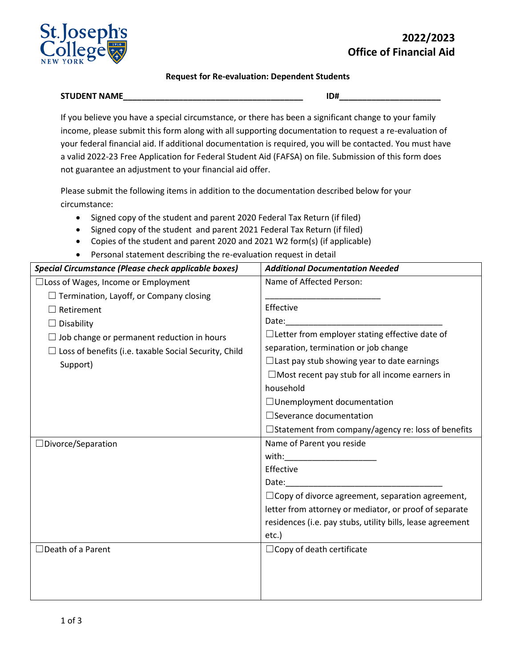

## **2022/2023 Office of Financial Aid**

## **Request for Re-evaluation: Dependent Students**

## **STUDENT NAME\_\_\_\_\_\_\_\_\_\_\_\_\_\_\_\_\_\_\_\_\_\_\_\_\_\_\_\_\_\_\_\_\_\_\_\_\_\_\_ ID#\_\_\_\_\_\_\_\_\_\_\_\_\_\_\_\_\_\_\_\_\_\_**

If you believe you have a special circumstance, or there has been a significant change to your family income, please submit this form along with all supporting documentation to request a re-evaluation of your federal financial aid. If additional documentation is required, you will be contacted. You must have a valid 2022-23 Free Application for Federal Student Aid (FAFSA) on file. Submission of this form does not guarantee an adjustment to your financial aid offer.

Please submit the following items in addition to the documentation described below for your circumstance:

- Signed copy of the student and parent 2020 Federal Tax Return (if filed)
- Signed copy of the student and parent 2021 Federal Tax Return (if filed)
- Copies of the student and parent 2020 and 2021 W2 form(s) (if applicable)
- Personal statement describing the re-evaluation request in detail

| <b>Additional Documentation Needed</b>                     |
|------------------------------------------------------------|
| Name of Affected Person:                                   |
|                                                            |
| Effective                                                  |
| Date:                                                      |
| $\Box$ Letter from employer stating effective date of      |
| separation, termination or job change                      |
| $\Box$ Last pay stub showing year to date earnings         |
| $\Box$ Most recent pay stub for all income earners in      |
| household                                                  |
| □ Unemployment documentation                               |
| $\Box$ Severance documentation                             |
| □Statement from company/agency re: loss of benefits        |
| Name of Parent you reside                                  |
| with:                                                      |
| Effective                                                  |
| Date:                                                      |
| $\Box$ Copy of divorce agreement, separation agreement,    |
| letter from attorney or mediator, or proof of separate     |
| residences (i.e. pay stubs, utility bills, lease agreement |
| etc.)                                                      |
| $\Box$ Copy of death certificate                           |
|                                                            |
|                                                            |
|                                                            |
|                                                            |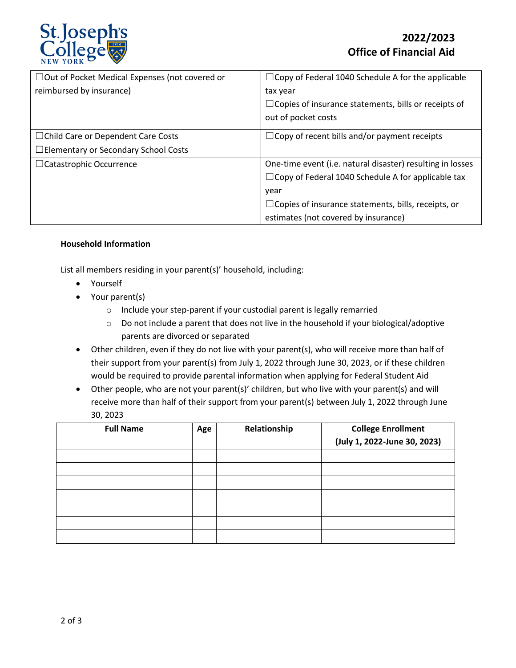

| $\Box$ Out of Pocket Medical Expenses (not covered or | $\Box$ Copy of Federal 1040 Schedule A for the applicable   |
|-------------------------------------------------------|-------------------------------------------------------------|
| reimbursed by insurance)                              | tax year                                                    |
|                                                       | $\Box$ Copies of insurance statements, bills or receipts of |
|                                                       | out of pocket costs                                         |
| □ Child Care or Dependent Care Costs                  | $\Box$ Copy of recent bills and/or payment receipts         |
| □ Elementary or Secondary School Costs                |                                                             |
| $\Box$ Catastrophic Occurrence                        | One-time event (i.e. natural disaster) resulting in losses  |
|                                                       | $\Box$ Copy of Federal 1040 Schedule A for applicable tax   |
|                                                       | year                                                        |
|                                                       | $\Box$ Copies of insurance statements, bills, receipts, or  |
|                                                       | estimates (not covered by insurance)                        |

## **Household Information**

List all members residing in your parent(s)' household, including:

- Yourself
- Your parent(s)
	- o Include your step-parent if your custodial parent is legally remarried
	- $\circ$  Do not include a parent that does not live in the household if your biological/adoptive parents are divorced or separated
- Other children, even if they do not live with your parent(s), who will receive more than half of their support from your parent(s) from July 1, 2022 through June 30, 2023, or if these children would be required to provide parental information when applying for Federal Student Aid
- Other people, who are not your parent(s)' children, but who live with your parent(s) and will receive more than half of their support from your parent(s) between July 1, 2022 through June 30, 2023

| <b>Full Name</b> | Age | Relationship | <b>College Enrollment</b>    |
|------------------|-----|--------------|------------------------------|
|                  |     |              | (July 1, 2022-June 30, 2023) |
|                  |     |              |                              |
|                  |     |              |                              |
|                  |     |              |                              |
|                  |     |              |                              |
|                  |     |              |                              |
|                  |     |              |                              |
|                  |     |              |                              |